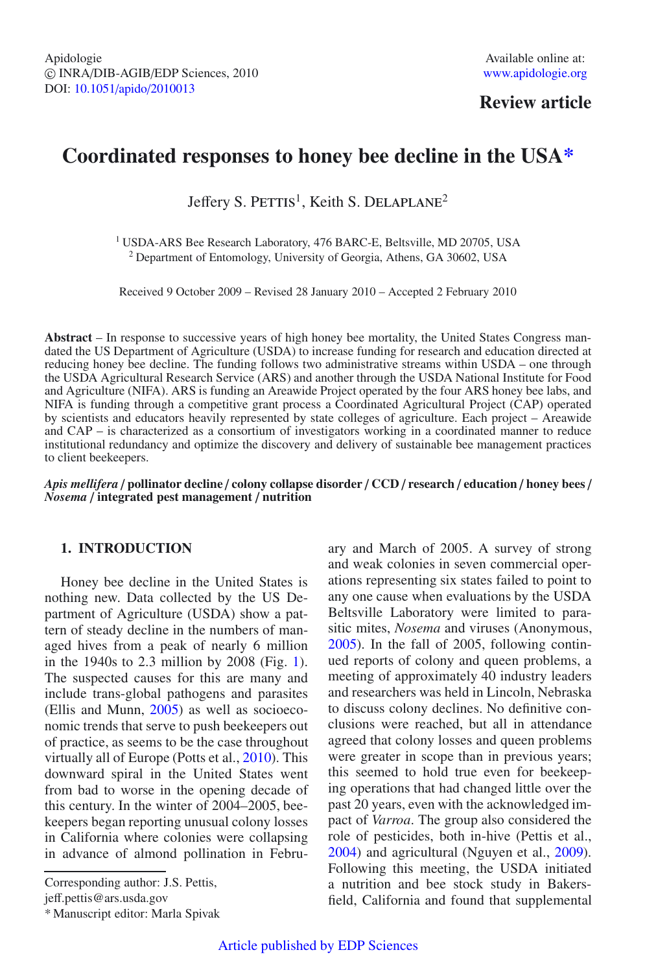# **Review article**

# **Coordinated responses to honey bee decline in the USA\***

Jeffery S. PETTIS<sup>1</sup>, Keith S. DELAPLANE<sup>2</sup>

<sup>1</sup> USDA-ARS Bee Research Laboratory, 476 BARC-E, Beltsville, MD 20705, USA <sup>2</sup> Department of Entomology, University of Georgia, Athens, GA 30602, USA

Received 9 October 2009 – Revised 28 January 2010 – Accepted 2 February 2010

**Abstract** – In response to successive years of high honey bee mortality, the United States Congress mandated the US Department of Agriculture (USDA) to increase funding for research and education directed at reducing honey bee decline. The funding follows two administrative streams within USDA – one through the USDA Agricultural Research Service (ARS) and another through the USDA National Institute for Food and Agriculture (NIFA). ARS is funding an Areawide Project operated by the four ARS honey bee labs, and NIFA is funding through a competitive grant process a Coordinated Agricultural Project (CAP) operated by scientists and educators heavily represented by state colleges of agriculture. Each project – Areawide and CAP – is characterized as a consortium of investigators working in a coordinated manner to reduce institutional redundancy and optimize the discovery and delivery of sustainable bee management practices to client beekeepers.

*Apis mellifera* / **pollinator decline** / **colony collapse disorder** / **CCD** / **research** / **education** / **honey bees** / *Nosema* / **integrated pest management** / **nutrition**

#### **1. INTRODUCTION**

Honey bee decline in the United States is nothing new. Data collected by the US Department of Agriculture (USDA) show a pattern of steady decline in the numbers of managed hives from a peak of nearly 6 million in the 1940s to 2.3 million by 2008 (Fig. [1\)](#page-1-0). The suspected causes for this are many and include trans-global pathogens and parasites (Ellis and Munn, [2005\)](#page-7-0) as well as socioeconomic trends that serve to push beekeepers out of practice, as seems to be the case throughout virtually all of Europe (Potts et al., [2010\)](#page-7-1). This downward spiral in the United States went from bad to worse in the opening decade of this century. In the winter of 2004–2005, beekeepers began reporting unusual colony losses in California where colonies were collapsing in advance of almond pollination in Febru-

Corresponding author: J.S. Pettis,

jeff.pettis@ars.usda.gov

\* Manuscript editor: Marla Spivak

ary and March of 2005. A survey of strong and weak colonies in seven commercial operations representing six states failed to point to any one cause when evaluations by the USDA Beltsville Laboratory were limited to parasitic mites, *Nosema* and viruses (Anonymous, [2005\)](#page-7-2). In the fall of 2005, following continued reports of colony and queen problems, a meeting of approximately 40 industry leaders and researchers was held in Lincoln, Nebraska to discuss colony declines. No definitive conclusions were reached, but all in attendance agreed that colony losses and queen problems were greater in scope than in previous years; this seemed to hold true even for beekeeping operations that had changed little over the past 20 years, even with the acknowledged impact of *Varroa*. The group also considered the role of pesticides, both in-hive (Pettis et al., [2004\)](#page-7-3) and agricultural (Nguyen et al., [2009\)](#page-7-4). Following this meeting, the USDA initiated a nutrition and bee stock study in Bakersfield, California and found that supplemental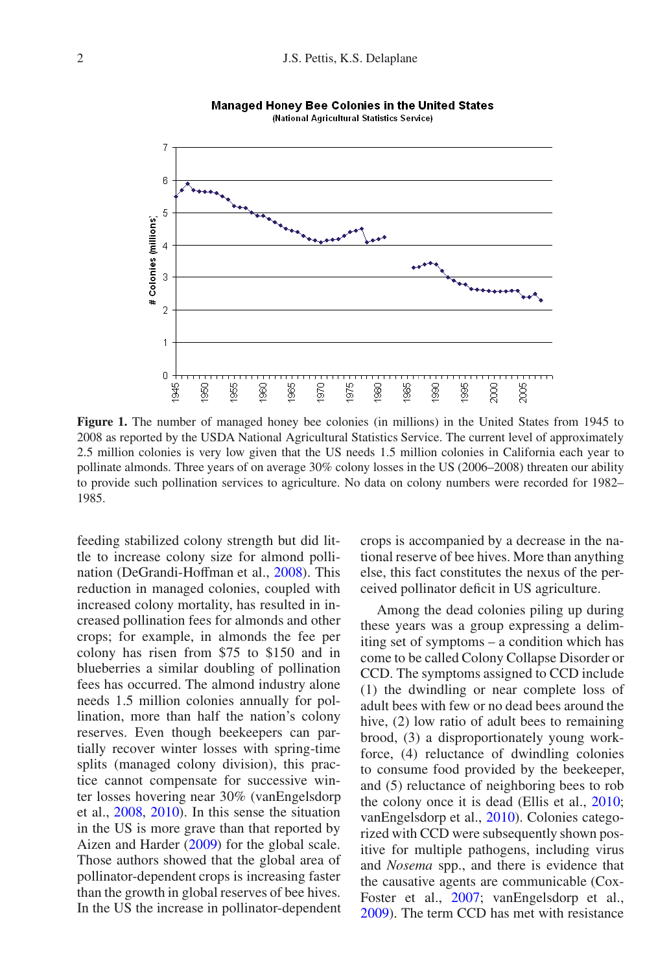<span id="page-1-0"></span>

**Managed Honey Bee Colonies in the United States** (National Agricultural Statistics Service)

Figure 1. The number of managed honey bee colonies (in millions) in the United States from 1945 to 2008 as reported by the USDA National Agricultural Statistics Service. The current level of approximately 2.5 million colonies is very low given that the US needs 1.5 million colonies in California each year to pollinate almonds. Three years of on average 30% colony losses in the US (2006–2008) threaten our ability to provide such pollination services to agriculture. No data on colony numbers were recorded for 1982– 1985.

feeding stabilized colony strength but did little to increase colony size for almond pollination (DeGrandi-Hoffman et al., [2008\)](#page-7-5). This reduction in managed colonies, coupled with increased colony mortality, has resulted in increased pollination fees for almonds and other crops; for example, in almonds the fee per colony has risen from \$75 to \$150 and in blueberries a similar doubling of pollination fees has occurred. The almond industry alone needs 1.5 million colonies annually for pollination, more than half the nation's colony reserves. Even though beekeepers can partially recover winter losses with spring-time splits (managed colony division), this practice cannot compensate for successive winter losses hovering near 30% (vanEngelsdorp et al., [2008,](#page-7-6) [2010\)](#page-7-7). In this sense the situation in the US is more grave than that reported by Aizen and Harder [\(2009\)](#page-7-8) for the global scale. Those authors showed that the global area of pollinator-dependent crops is increasing faster than the growth in global reserves of bee hives. In the US the increase in pollinator-dependent crops is accompanied by a decrease in the national reserve of bee hives. More than anything else, this fact constitutes the nexus of the perceived pollinator deficit in US agriculture.

Among the dead colonies piling up during these years was a group expressing a delimiting set of symptoms – a condition which has come to be called Colony Collapse Disorder or CCD. The symptoms assigned to CCD include (1) the dwindling or near complete loss of adult bees with few or no dead bees around the hive, (2) low ratio of adult bees to remaining brood, (3) a disproportionately young workforce, (4) reluctance of dwindling colonies to consume food provided by the beekeeper, and (5) reluctance of neighboring bees to rob the colony once it is dead (Ellis et al., [2010;](#page-7-9) vanEngelsdorp et al., [2010](#page-7-7)). Colonies categorized with CCD were subsequently shown positive for multiple pathogens, including virus and *Nosema* spp., and there is evidence that the causative agents are communicable (Cox-Foster et al., [2007;](#page-7-10) vanEngelsdorp et al., [2009](#page-7-11)). The term CCD has met with resistance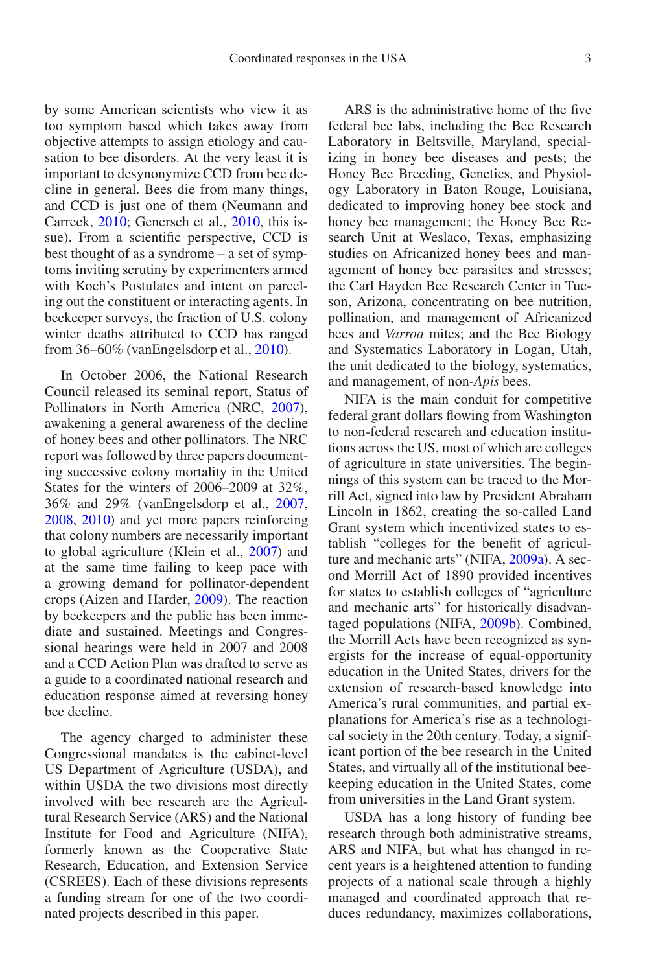by some American scientists who view it as too symptom based which takes away from objective attempts to assign etiology and causation to bee disorders. At the very least it is important to desynonymize CCD from bee decline in general. Bees die from many things, and CCD is just one of them (Neumann and Carreck, [2010;](#page-7-12) Genersch et al., [2010,](#page-7-13) this issue). From a scientific perspective, CCD is best thought of as a syndrome – a set of symptoms inviting scrutiny by experimenters armed with Koch's Postulates and intent on parceling out the constituent or interacting agents. In beekeeper surveys, the fraction of U.S. colony winter deaths attributed to CCD has ranged from 36–60% (vanEngelsdorp et al., [2010\)](#page-7-7).

In October 2006, the National Research Council released its seminal report, Status of Pollinators in North America (NRC, [2007\)](#page-7-14), awakening a general awareness of the decline of honey bees and other pollinators. The NRC report was followed by three papers documenting successive colony mortality in the United States for the winters of 2006–2009 at 32%, 36% and 29% (vanEngelsdorp et al., [2007,](#page-7-15) [2008](#page-7-6), [2010](#page-7-7)) and yet more papers reinforcing that colony numbers are necessarily important to global agriculture (Klein et al., [2007](#page-7-16)) and at the same time failing to keep pace with a growing demand for pollinator-dependent crops (Aizen and Harder, [2009](#page-7-8)). The reaction by beekeepers and the public has been immediate and sustained. Meetings and Congressional hearings were held in 2007 and 2008 and a CCD Action Plan was drafted to serve as a guide to a coordinated national research and education response aimed at reversing honey bee decline.

The agency charged to administer these Congressional mandates is the cabinet-level US Department of Agriculture (USDA), and within USDA the two divisions most directly involved with bee research are the Agricultural Research Service (ARS) and the National Institute for Food and Agriculture (NIFA), formerly known as the Cooperative State Research, Education, and Extension Service (CSREES). Each of these divisions represents a funding stream for one of the two coordinated projects described in this paper.

ARS is the administrative home of the five federal bee labs, including the Bee Research Laboratory in Beltsville, Maryland, specializing in honey bee diseases and pests; the Honey Bee Breeding, Genetics, and Physiology Laboratory in Baton Rouge, Louisiana, dedicated to improving honey bee stock and honey bee management; the Honey Bee Research Unit at Weslaco, Texas, emphasizing studies on Africanized honey bees and management of honey bee parasites and stresses; the Carl Hayden Bee Research Center in Tucson, Arizona, concentrating on bee nutrition, pollination, and management of Africanized bees and *Varroa* mites; and the Bee Biology and Systematics Laboratory in Logan, Utah, the unit dedicated to the biology, systematics, and management, of non-*Apis* bees.

NIFA is the main conduit for competitive federal grant dollars flowing from Washington to non-federal research and education institutions across the US, most of which are colleges of agriculture in state universities. The beginnings of this system can be traced to the Morrill Act, signed into law by President Abraham Lincoln in 1862, creating the so-called Land Grant system which incentivized states to establish "colleges for the benefit of agriculture and mechanic arts" (NIFA, [2009a\)](#page-7-17). A second Morrill Act of 1890 provided incentives for states to establish colleges of "agriculture and mechanic arts" for historically disadvantaged populations (NIFA, [2009b\)](#page-7-18). Combined, the Morrill Acts have been recognized as synergists for the increase of equal-opportunity education in the United States, drivers for the extension of research-based knowledge into America's rural communities, and partial explanations for America's rise as a technological society in the 20th century. Today, a significant portion of the bee research in the United States, and virtually all of the institutional beekeeping education in the United States, come from universities in the Land Grant system.

USDA has a long history of funding bee research through both administrative streams, ARS and NIFA, but what has changed in recent years is a heightened attention to funding projects of a national scale through a highly managed and coordinated approach that reduces redundancy, maximizes collaborations,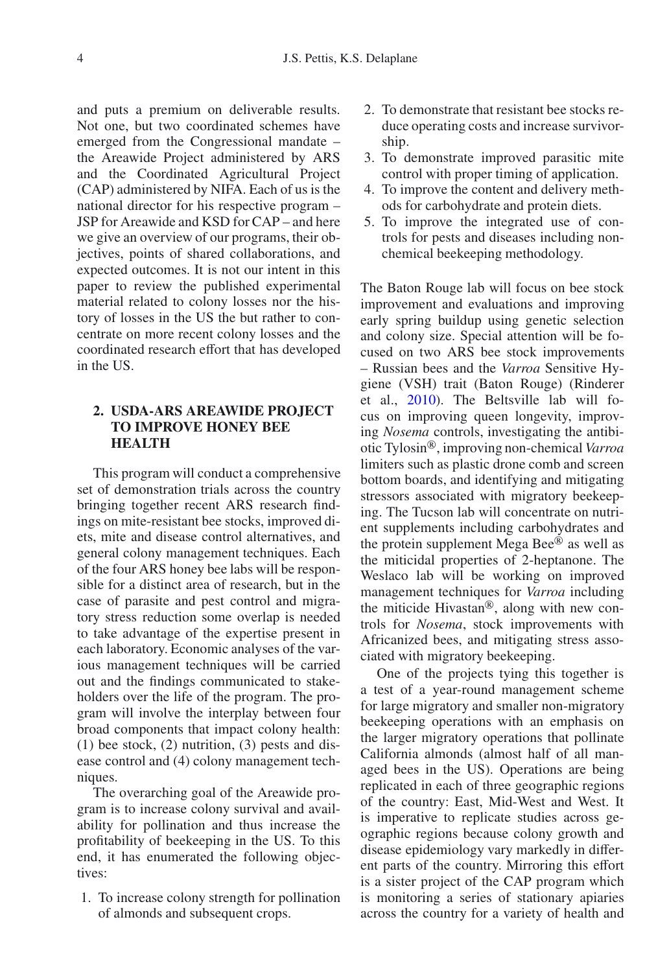and puts a premium on deliverable results. Not one, but two coordinated schemes have emerged from the Congressional mandate – the Areawide Project administered by ARS and the Coordinated Agricultural Project (CAP) administered by NIFA. Each of us is the national director for his respective program – JSP for Areawide and KSD for CAP – and here we give an overview of our programs, their objectives, points of shared collaborations, and expected outcomes. It is not our intent in this paper to review the published experimental material related to colony losses nor the history of losses in the US the but rather to concentrate on more recent colony losses and the coordinated research effort that has developed in the US.

## **2. USDA-ARS AREAWIDE PROJECT TO IMPROVE HONEY BEE HEALTH**

This program will conduct a comprehensive set of demonstration trials across the country bringing together recent ARS research findings on mite-resistant bee stocks, improved diets, mite and disease control alternatives, and general colony management techniques. Each of the four ARS honey bee labs will be responsible for a distinct area of research, but in the case of parasite and pest control and migratory stress reduction some overlap is needed to take advantage of the expertise present in each laboratory. Economic analyses of the various management techniques will be carried out and the findings communicated to stakeholders over the life of the program. The program will involve the interplay between four broad components that impact colony health: (1) bee stock, (2) nutrition, (3) pests and disease control and (4) colony management techniques.

The overarching goal of the Areawide program is to increase colony survival and availability for pollination and thus increase the profitability of beekeeping in the US. To this end, it has enumerated the following objectives:

1. To increase colony strength for pollination of almonds and subsequent crops.

- 2. To demonstrate that resistant bee stocks reduce operating costs and increase survivorship.
- 3. To demonstrate improved parasitic mite control with proper timing of application.
- 4. To improve the content and delivery methods for carbohydrate and protein diets.
- 5. To improve the integrated use of controls for pests and diseases including nonchemical beekeeping methodology.

The Baton Rouge lab will focus on bee stock improvement and evaluations and improving early spring buildup using genetic selection and colony size. Special attention will be focused on two ARS bee stock improvements – Russian bees and the *Varroa* Sensitive Hygiene (VSH) trait (Baton Rouge) (Rinderer et al., [2010\)](#page-7-19). The Beltsville lab will focus on improving queen longevity, improving *Nosema* controls, investigating the antibiotic Tylosin-, improving non-chemical *Varroa* limiters such as plastic drone comb and screen bottom boards, and identifying and mitigating stressors associated with migratory beekeeping. The Tucson lab will concentrate on nutrient supplements including carbohydrates and the protein supplement Mega Bee® as well as the miticidal properties of 2-heptanone. The Weslaco lab will be working on improved management techniques for *Varroa* including the miticide Hivastan®, along with new controls for *Nosema*, stock improvements with Africanized bees, and mitigating stress associated with migratory beekeeping.

One of the projects tying this together is a test of a year-round management scheme for large migratory and smaller non-migratory beekeeping operations with an emphasis on the larger migratory operations that pollinate California almonds (almost half of all managed bees in the US). Operations are being replicated in each of three geographic regions of the country: East, Mid-West and West. It is imperative to replicate studies across geographic regions because colony growth and disease epidemiology vary markedly in different parts of the country. Mirroring this effort is a sister project of the CAP program which is monitoring a series of stationary apiaries across the country for a variety of health and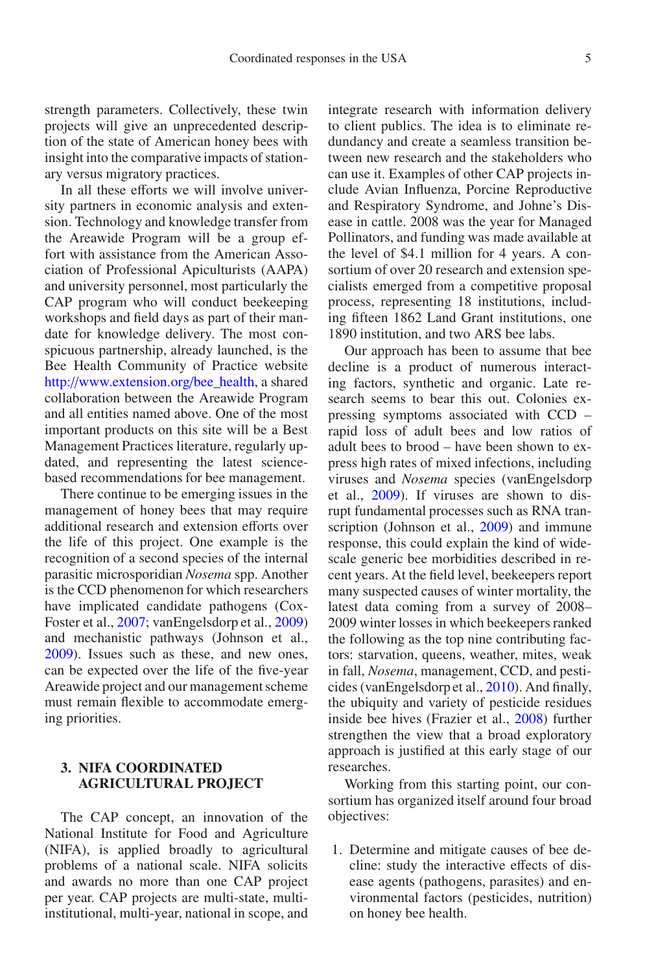strength parameters. Collectively, these twin projects will give an unprecedented description of the state of American honey bees with insight into the comparative impacts of stationary versus migratory practices.

In all these efforts we will involve university partners in economic analysis and extension. Technology and knowledge transfer from the Areawide Program will be a group effort with assistance from the American Association of Professional Apiculturists (AAPA) and university personnel, most particularly the CAP program who will conduct beekeeping workshops and field days as part of their mandate for knowledge delivery. The most conspicuous partnership, already launched, is the Bee Health Community of Practice website http://[www.extension.org](http://www.extension.org/bee_health)/bee\_health, a shared collaboration between the Areawide Program and all entities named above. One of the most important products on this site will be a Best Management Practices literature, regularly updated, and representing the latest sciencebased recommendations for bee management.

There continue to be emerging issues in the management of honey bees that may require additional research and extension efforts over the life of this project. One example is the recognition of a second species of the internal parasitic microsporidian *Nosema* spp. Another is the CCD phenomenon for which researchers have implicated candidate pathogens (Cox-Foster et al., [2007;](#page-7-10) vanEngelsdorp et al., [2009](#page-7-11)) and mechanistic pathways (Johnson et al., [2009](#page-7-20)). Issues such as these, and new ones, can be expected over the life of the five-year Areawide project and our management scheme must remain flexible to accommodate emerging priorities.

### **3. NIFA COORDINATED AGRICULTURAL PROJECT**

The CAP concept, an innovation of the National Institute for Food and Agriculture (NIFA), is applied broadly to agricultural problems of a national scale. NIFA solicits and awards no more than one CAP project per year. CAP projects are multi-state, multiinstitutional, multi-year, national in scope, and integrate research with information delivery to client publics. The idea is to eliminate redundancy and create a seamless transition between new research and the stakeholders who can use it. Examples of other CAP projects include Avian Influenza, Porcine Reproductive and Respiratory Syndrome, and Johne's Disease in cattle. 2008 was the year for Managed Pollinators, and funding was made available at the level of \$4.1 million for 4 years. A consortium of over 20 research and extension specialists emerged from a competitive proposal process, representing 18 institutions, including fifteen 1862 Land Grant institutions, one 1890 institution, and two ARS bee labs.

Our approach has been to assume that bee decline is a product of numerous interacting factors, synthetic and organic. Late research seems to bear this out. Colonies expressing symptoms associated with CCD – rapid loss of adult bees and low ratios of adult bees to brood – have been shown to express high rates of mixed infections, including viruses and *Nosema* species (vanEngelsdorp et al., [2009\)](#page-7-11). If viruses are shown to disrupt fundamental processes such as RNA transcription (Johnson et al., [2009\)](#page-7-20) and immune response, this could explain the kind of widescale generic bee morbidities described in recent years. At the field level, beekeepers report many suspected causes of winter mortality, the latest data coming from a survey of 2008– 2009 winter losses in which beekeepers ranked the following as the top nine contributing factors: starvation, queens, weather, mites, weak in fall, *Nosema*, management, CCD, and pesticides (vanEngelsdorp et al., [2010\)](#page-7-7). And finally, the ubiquity and variety of pesticide residues inside bee hives (Frazier et al., [2008\)](#page-7-21) further strengthen the view that a broad exploratory approach is justified at this early stage of our researches.

Working from this starting point, our consortium has organized itself around four broad objectives:

1. Determine and mitigate causes of bee decline: study the interactive effects of disease agents (pathogens, parasites) and environmental factors (pesticides, nutrition) on honey bee health.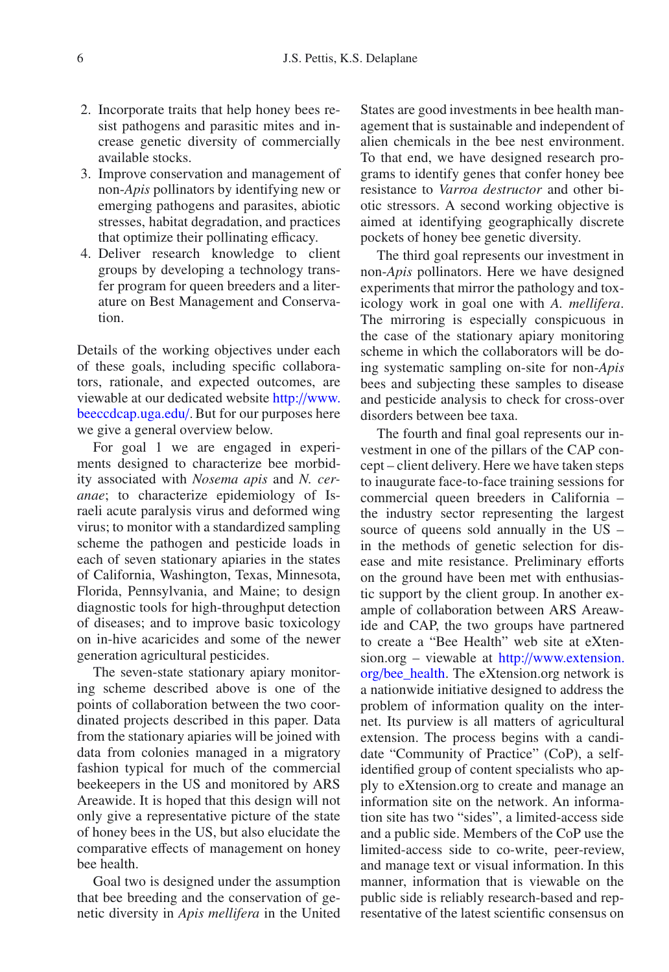- 2. Incorporate traits that help honey bees resist pathogens and parasitic mites and increase genetic diversity of commercially available stocks.
- 3. Improve conservation and management of non-*Apis* pollinators by identifying new or emerging pathogens and parasites, abiotic stresses, habitat degradation, and practices that optimize their pollinating efficacy.
- 4. Deliver research knowledge to client groups by developing a technology transfer program for queen breeders and a literature on Best Management and Conservation.

Details of the working objectives under each of these goals, including specific collaborators, rationale, and expected outcomes, are viewable at our dedicated website http://[www.](http://www.beeccdcap.uga.edu/) [beeccdcap.uga.edu](http://www.beeccdcap.uga.edu/)/. But for our purposes here we give a general overview below.

For goal 1 we are engaged in experiments designed to characterize bee morbidity associated with *Nosema apis* and *N. ceranae*; to characterize epidemiology of Israeli acute paralysis virus and deformed wing virus; to monitor with a standardized sampling scheme the pathogen and pesticide loads in each of seven stationary apiaries in the states of California, Washington, Texas, Minnesota, Florida, Pennsylvania, and Maine; to design diagnostic tools for high-throughput detection of diseases; and to improve basic toxicology on in-hive acaricides and some of the newer generation agricultural pesticides.

The seven-state stationary apiary monitoring scheme described above is one of the points of collaboration between the two coordinated projects described in this paper. Data from the stationary apiaries will be joined with data from colonies managed in a migratory fashion typical for much of the commercial beekeepers in the US and monitored by ARS Areawide. It is hoped that this design will not only give a representative picture of the state of honey bees in the US, but also elucidate the comparative effects of management on honey bee health.

Goal two is designed under the assumption that bee breeding and the conservation of genetic diversity in *Apis mellifera* in the United States are good investments in bee health management that is sustainable and independent of alien chemicals in the bee nest environment. To that end, we have designed research programs to identify genes that confer honey bee resistance to *Varroa destructor* and other biotic stressors. A second working objective is aimed at identifying geographically discrete pockets of honey bee genetic diversity.

The third goal represents our investment in non-*Apis* pollinators. Here we have designed experiments that mirror the pathology and toxicology work in goal one with *A. mellifera*. The mirroring is especially conspicuous in the case of the stationary apiary monitoring scheme in which the collaborators will be doing systematic sampling on-site for non-*Apis* bees and subjecting these samples to disease and pesticide analysis to check for cross-over disorders between bee taxa.

The fourth and final goal represents our investment in one of the pillars of the CAP concept – client delivery. Here we have taken steps to inaugurate face-to-face training sessions for commercial queen breeders in California – the industry sector representing the largest source of queens sold annually in the US – in the methods of genetic selection for disease and mite resistance. Preliminary efforts on the ground have been met with enthusiastic support by the client group. In another example of collaboration between ARS Areawide and CAP, the two groups have partnered to create a "Bee Health" web site at eXtension.org – viewable at http://[www.extension.](http://www.extension.org/bee_health) org/[bee\\_health.](http://www.extension.org/bee_health) The eXtension.org network is a nationwide initiative designed to address the problem of information quality on the internet. Its purview is all matters of agricultural extension. The process begins with a candidate "Community of Practice" (CoP), a selfidentified group of content specialists who apply to eXtension.org to create and manage an information site on the network. An information site has two "sides", a limited-access side and a public side. Members of the CoP use the limited-access side to co-write, peer-review, and manage text or visual information. In this manner, information that is viewable on the public side is reliably research-based and representative of the latest scientific consensus on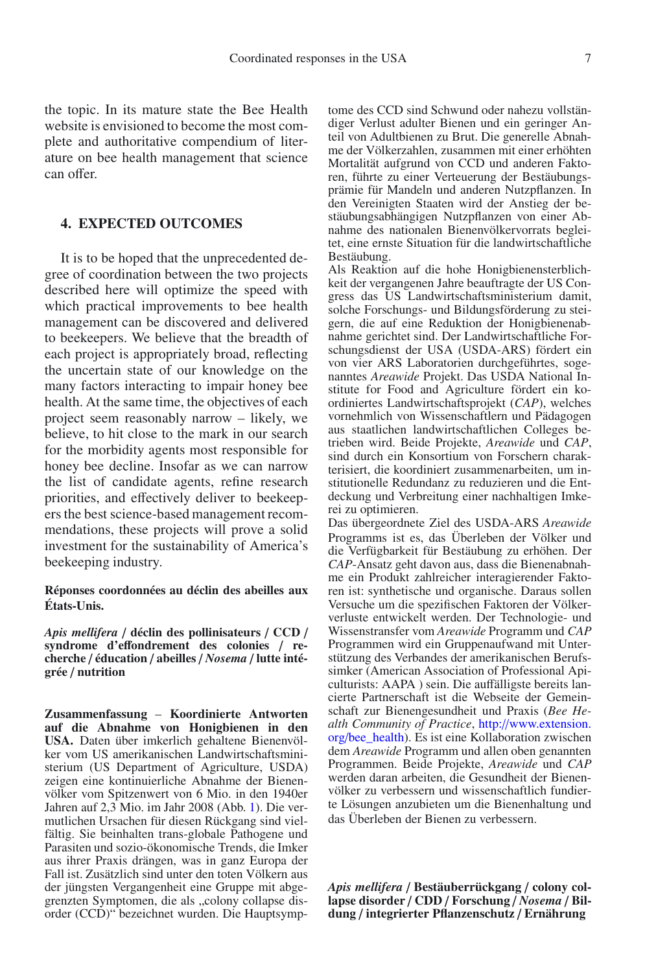the topic. In its mature state the Bee Health website is envisioned to become the most complete and authoritative compendium of literature on bee health management that science can offer.

#### **4. EXPECTED OUTCOMES**

It is to be hoped that the unprecedented degree of coordination between the two projects described here will optimize the speed with which practical improvements to bee health management can be discovered and delivered to beekeepers. We believe that the breadth of each project is appropriately broad, reflecting the uncertain state of our knowledge on the many factors interacting to impair honey bee health. At the same time, the objectives of each project seem reasonably narrow – likely, we believe, to hit close to the mark in our search for the morbidity agents most responsible for honey bee decline. Insofar as we can narrow the list of candidate agents, refine research priorities, and effectively deliver to beekeepers the best science-based management recommendations, these projects will prove a solid investment for the sustainability of America's beekeeping industry.

#### **Réponses coordonnées au déclin des abeilles aux États-Unis.**

*Apis mellifera* / **déclin des pollinisateurs** / **CCD** / **syndrome d'e**ff**ondrement des colonies** / **recherche** / **éducation** / **abeilles** / *Nosema* / **lutte intégrée** / **nutrition**

**Zusammenfassung** – **Koordinierte Antworten auf die Abnahme von Honigbienen in den USA.** Daten über imkerlich gehaltene Bienenvölker vom US amerikanischen Landwirtschaftsministerium (US Department of Agriculture, USDA) zeigen eine kontinuierliche Abnahme der Bienenvölker vom Spitzenwert von 6 Mio. in den 1940er Jahren auf  $2,3$  Mio. im Jahr 2008 (Abb. [1\)](#page-1-0). Die vermutlichen Ursachen für diesen Rückgang sind vielfältig. Sie beinhalten trans-globale Pathogene und Parasiten und sozio-ökonomische Trends, die Imker aus ihrer Praxis drängen, was in ganz Europa der Fall ist. Zusätzlich sind unter den toten Völkern aus der jüngsten Vergangenheit eine Gruppe mit abgegrenzten Symptomen, die als "colony collapse disorder (CCD)" bezeichnet wurden. Die Hauptsymptome des CCD sind Schwund oder nahezu vollständiger Verlust adulter Bienen und ein geringer Anteil von Adultbienen zu Brut. Die generelle Abnahme der Völkerzahlen, zusammen mit einer erhöhten Mortalität aufgrund von CCD und anderen Faktoren, führte zu einer Verteuerung der Bestäubungsprämie für Mandeln und anderen Nutzpflanzen. In den Vereinigten Staaten wird der Anstieg der bestäubungsabhängigen Nutzpflanzen von einer Abnahme des nationalen Bienenvölkervorrats begleitet, eine ernste Situation für die landwirtschaftliche Bestäubung.

Als Reaktion auf die hohe Honigbienensterblichkeit der vergangenen Jahre beauftragte der US Congress das US Landwirtschaftsministerium damit, solche Forschungs- und Bildungsförderung zu steigern, die auf eine Reduktion der Honigbienenabnahme gerichtet sind. Der Landwirtschaftliche Forschungsdienst der USA (USDA-ARS) fördert ein von vier ARS Laboratorien durchgeführtes, sogenanntes *Areawide* Projekt. Das USDA National Institute for Food and Agriculture fördert ein koordiniertes Landwirtschaftsprojekt (*CAP*), welches vornehmlich von Wissenschaftlern und Pädagogen aus staatlichen landwirtschaftlichen Colleges betrieben wird. Beide Projekte, *Areawide* und *CAP*, sind durch ein Konsortium von Forschern charakterisiert, die koordiniert zusammenarbeiten, um institutionelle Redundanz zu reduzieren und die Entdeckung und Verbreitung einer nachhaltigen Imkerei zu optimieren.

Das übergeordnete Ziel des USDA-ARS *Areawide* Programms ist es, das Überleben der Völker und die Verfügbarkeit für Bestäubung zu erhöhen. Der *CAP*-Ansatz geht davon aus, dass die Bienenabnahme ein Produkt zahlreicher interagierender Faktoren ist: synthetische und organische. Daraus sollen Versuche um die spezifischen Faktoren der Völkerverluste entwickelt werden. Der Technologie- und Wissenstransfer vom *Areawide* Programm und *CAP* Programmen wird ein Gruppenaufwand mit Unterstützung des Verbandes der amerikanischen Berufssimker (American Association of Professional Apiculturists: AAPA ) sein. Die auffälligste bereits lancierte Partnerschaft ist die Webseite der Gemeinschaft zur Bienengesundheit und Praxis (*Bee Health Community of Practice*, http://[www.extension.](http://www.extension.org/bee_health) org/[bee\\_health\)](http://www.extension.org/bee_health). Es ist eine Kollaboration zwischen dem *Areawide* Programm und allen oben genannten Programmen. Beide Projekte, *Areawide* und *CAP* werden daran arbeiten, die Gesundheit der Bienenvölker zu verbessern und wissenschaftlich fundierte Lösungen anzubieten um die Bienenhaltung und das Überleben der Bienen zu verbessern.

*Apis mellifera* / **Bestäuberrückgang** / **colony collapse disorder** / **CDD** / **Forschung** / *Nosema* / **Bildung** / **integrierter Pflanzenschutz** / **Ernährung**